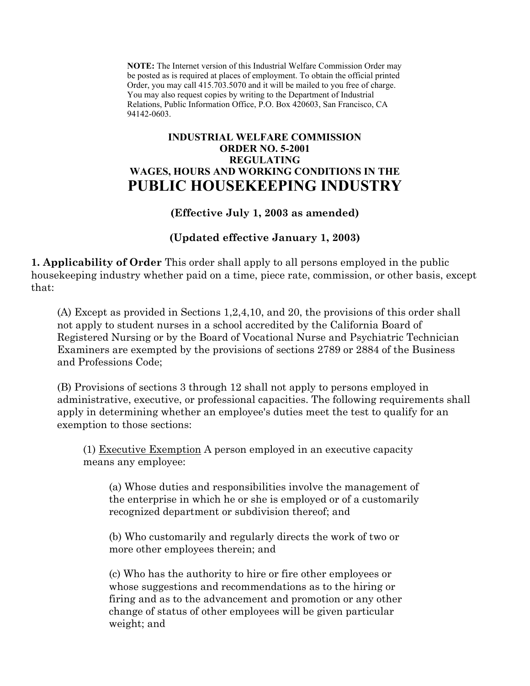**NOTE:** The Internet version of this Industrial Welfare Commission Order may be posted as is required at places of employment. To obtain the official printed Order, you may call 415.703.5070 and it will be mailed to you free of charge. You may also request copies by writing to the Department of Industrial Relations, Public Information Office, P.O. Box 420603, San Francisco, CA 94142-0603.

### **INDUSTRIAL WELFARE COMMISSION ORDER NO. 5-2001 REGULATING WAGES, HOURS AND WORKING CONDITIONS IN THE PUBLIC HOUSEKEEPING INDUSTRY**

### **(Effective July 1, 2003 as amended)**

#### **(Updated effective January 1, 2003)**

**1. Applicability of Order** This order shall apply to all persons employed in the public housekeeping industry whether paid on a time, piece rate, commission, or other basis, except that:

(A) Except as provided in Sections 1,2,4,10, and 20, the provisions of this order shall not apply to student nurses in a school accredited by the California Board of Registered Nursing or by the Board of Vocational Nurse and Psychiatric Technician Examiners are exempted by the provisions of sections 2789 or 2884 of the Business and Professions Code;

(B) Provisions of sections 3 through 12 shall not apply to persons employed in administrative, executive, or professional capacities. The following requirements shall apply in determining whether an employee's duties meet the test to qualify for an exemption to those sections:

(1) Executive Exemption A person employed in an executive capacity means any employee:

(a) Whose duties and responsibilities involve the management of the enterprise in which he or she is employed or of a customarily recognized department or subdivision thereof; and

(b) Who customarily and regularly directs the work of two or more other employees therein; and

(c) Who has the authority to hire or fire other employees or whose suggestions and recommendations as to the hiring or firing and as to the advancement and promotion or any other change of status of other employees will be given particular weight; and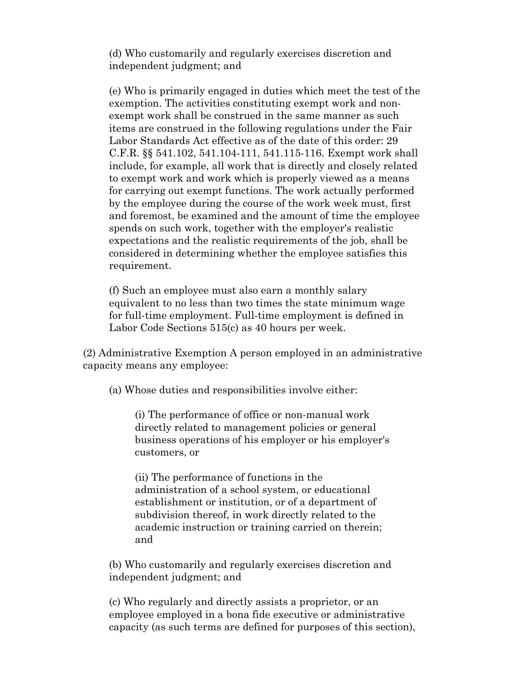(d) Who customarily and regularly exercises discretion and independent judgment; and

(e) Who is primarily engaged in duties which meet the test of the exemption. The activities constituting exempt work and nonexempt work shall be construed in the same manner as such items are construed in the following regulations under the Fair Labor Standards Act effective as of the date of this order: 29 C.F.R. §§ 541.102, 541.104-111, 541.115-116. Exempt work shall include, for example, all work that is directly and closely related to exempt work and work which is properly viewed as a means for carrying out exempt functions. The work actually performed by the employee during the course of the work week must, first and foremost, be examined and the amount of time the employee spends on such work, together with the employer's realistic expectations and the realistic requirements of the job, shall be considered in determining whether the employee satisfies this requirement.

(f) Such an employee must also earn a monthly salary equivalent to no less than two times the state minimum wage for full-time employment. Full-time employment is defined in Labor Code Sections 515(c) as 40 hours per week.

(2) Administrative Exemption A person employed in an administrative capacity means any employee:

(a) Whose duties and responsibilities involve either:

(i) The performance of office or non-manual work directly related to management policies or general business operations of his employer or his employer's customers, or

(ii) The performance of functions in the administration of a school system, or educational establishment or institution, or of a department of subdivision thereof, in work directly related to the academic instruction or training carried on therein; and

(b) Who customarily and regularly exercises discretion and independent judgment; and

(c) Who regularly and directly assists a proprietor, or an employee employed in a bona fide executive or administrative capacity (as such terms are defined for purposes of this section),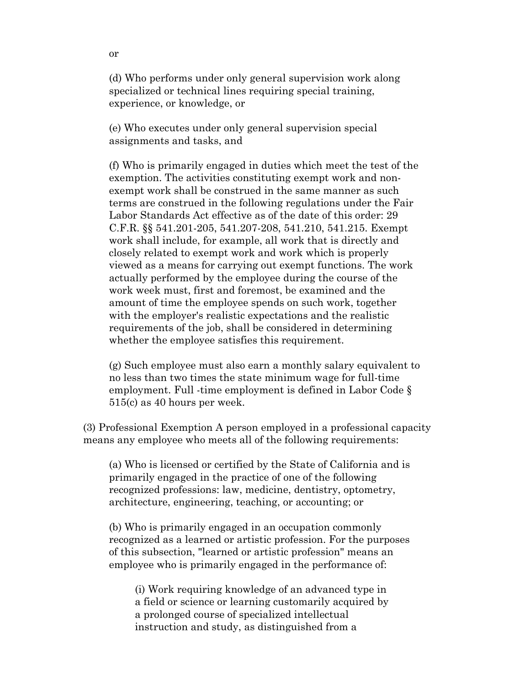(d) Who performs under only general supervision work along specialized or technical lines requiring special training, experience, or knowledge, or

(e) Who executes under only general supervision special assignments and tasks, and

(f) Who is primarily engaged in duties which meet the test of the exemption. The activities constituting exempt work and nonexempt work shall be construed in the same manner as such terms are construed in the following regulations under the Fair Labor Standards Act effective as of the date of this order: 29 C.F.R. §§ 541.201-205, 541.207-208, 541.210, 541.215. Exempt work shall include, for example, all work that is directly and closely related to exempt work and work which is properly viewed as a means for carrying out exempt functions. The work actually performed by the employee during the course of the work week must, first and foremost, be examined and the amount of time the employee spends on such work, together with the employer's realistic expectations and the realistic requirements of the job, shall be considered in determining whether the employee satisfies this requirement.

(g) Such employee must also earn a monthly salary equivalent to no less than two times the state minimum wage for full-time employment. Full -time employment is defined in Labor Code § 515(c) as 40 hours per week.

(3) Professional Exemption A person employed in a professional capacity means any employee who meets all of the following requirements:

(a) Who is licensed or certified by the State of California and is primarily engaged in the practice of one of the following recognized professions: law, medicine, dentistry, optometry, architecture, engineering, teaching, or accounting; or

(b) Who is primarily engaged in an occupation commonly recognized as a learned or artistic profession. For the purposes of this subsection, "learned or artistic profession" means an employee who is primarily engaged in the performance of:

(i) Work requiring knowledge of an advanced type in a field or science or learning customarily acquired by a prolonged course of specialized intellectual instruction and study, as distinguished from a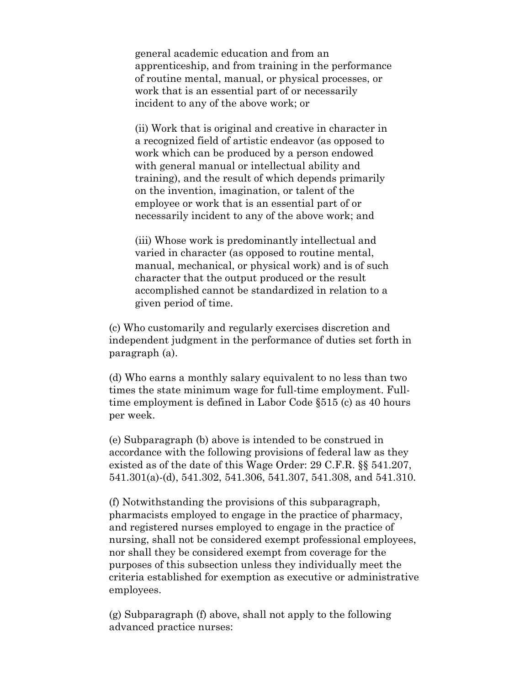general academic education and from an apprenticeship, and from training in the performance of routine mental, manual, or physical processes, or work that is an essential part of or necessarily incident to any of the above work; or

(ii) Work that is original and creative in character in a recognized field of artistic endeavor (as opposed to work which can be produced by a person endowed with general manual or intellectual ability and training), and the result of which depends primarily on the invention, imagination, or talent of the employee or work that is an essential part of or necessarily incident to any of the above work; and

(iii) Whose work is predominantly intellectual and varied in character (as opposed to routine mental, manual, mechanical, or physical work) and is of such character that the output produced or the result accomplished cannot be standardized in relation to a given period of time.

(c) Who customarily and regularly exercises discretion and independent judgment in the performance of duties set forth in paragraph (a).

(d) Who earns a monthly salary equivalent to no less than two times the state minimum wage for full-time employment. Fulltime employment is defined in Labor Code §515 (c) as 40 hours per week.

(e) Subparagraph (b) above is intended to be construed in accordance with the following provisions of federal law as they existed as of the date of this Wage Order: 29 C.F.R. §§ 541.207, 541.301(a)-(d), 541.302, 541.306, 541.307, 541.308, and 541.310.

(f) Notwithstanding the provisions of this subparagraph, pharmacists employed to engage in the practice of pharmacy, and registered nurses employed to engage in the practice of nursing, shall not be considered exempt professional employees, nor shall they be considered exempt from coverage for the purposes of this subsection unless they individually meet the criteria established for exemption as executive or administrative employees.

(g) Subparagraph (f) above, shall not apply to the following advanced practice nurses: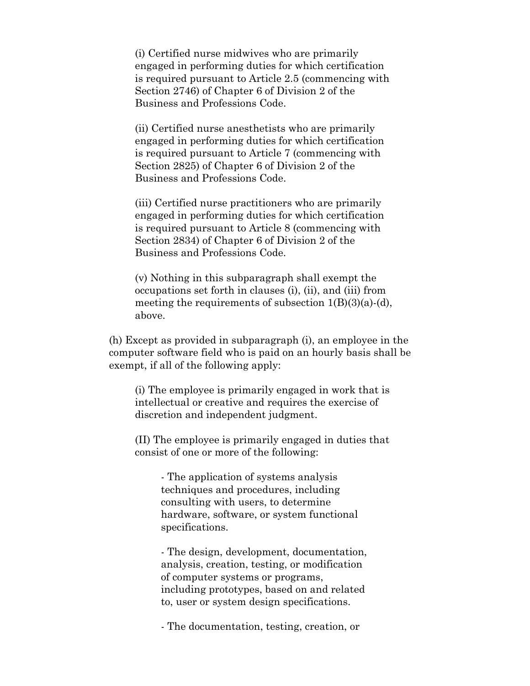(i) Certified nurse midwives who are primarily engaged in performing duties for which certification is required pursuant to Article 2.5 (commencing with Section 2746) of Chapter 6 of Division 2 of the Business and Professions Code.

(ii) Certified nurse anesthetists who are primarily engaged in performing duties for which certification is required pursuant to Article 7 (commencing with Section 2825) of Chapter 6 of Division 2 of the Business and Professions Code.

(iii) Certified nurse practitioners who are primarily engaged in performing duties for which certification is required pursuant to Article 8 (commencing with Section 2834) of Chapter 6 of Division 2 of the Business and Professions Code.

(v) Nothing in this subparagraph shall exempt the occupations set forth in clauses (i), (ii), and (iii) from meeting the requirements of subsection  $1(B)(3)(a)-(d)$ , above.

(h) Except as provided in subparagraph (i), an employee in the computer software field who is paid on an hourly basis shall be exempt, if all of the following apply:

(i) The employee is primarily engaged in work that is intellectual or creative and requires the exercise of discretion and independent judgment.

(II) The employee is primarily engaged in duties that consist of one or more of the following:

> - The application of systems analysis techniques and procedures, including consulting with users, to determine hardware, software, or system functional specifications.

- The design, development, documentation, analysis, creation, testing, or modification of computer systems or programs, including prototypes, based on and related to, user or system design specifications.

- The documentation, testing, creation, or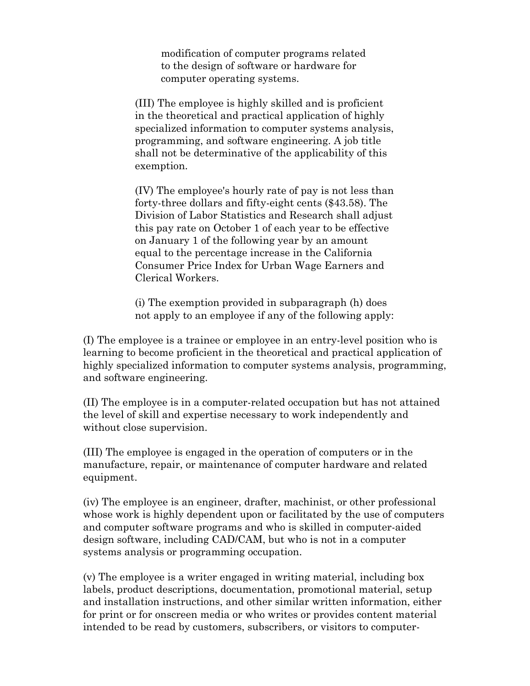modification of computer programs related to the design of software or hardware for computer operating systems.

(III) The employee is highly skilled and is proficient in the theoretical and practical application of highly specialized information to computer systems analysis, programming, and software engineering. A job title shall not be determinative of the applicability of this exemption.

(IV) The employee's hourly rate of pay is not less than forty-three dollars and fifty-eight cents (\$43.58). The Division of Labor Statistics and Research shall adjust this pay rate on October 1 of each year to be effective on January 1 of the following year by an amount equal to the percentage increase in the California Consumer Price Index for Urban Wage Earners and Clerical Workers.

(i) The exemption provided in subparagraph (h) does not apply to an employee if any of the following apply:

(I) The employee is a trainee or employee in an entry-level position who is learning to become proficient in the theoretical and practical application of highly specialized information to computer systems analysis, programming, and software engineering.

(II) The employee is in a computer-related occupation but has not attained the level of skill and expertise necessary to work independently and without close supervision.

(III) The employee is engaged in the operation of computers or in the manufacture, repair, or maintenance of computer hardware and related equipment.

(iv) The employee is an engineer, drafter, machinist, or other professional whose work is highly dependent upon or facilitated by the use of computers and computer software programs and who is skilled in computer-aided design software, including CAD/CAM, but who is not in a computer systems analysis or programming occupation.

(v) The employee is a writer engaged in writing material, including box labels, product descriptions, documentation, promotional material, setup and installation instructions, and other similar written information, either for print or for onscreen media or who writes or provides content material intended to be read by customers, subscribers, or visitors to computer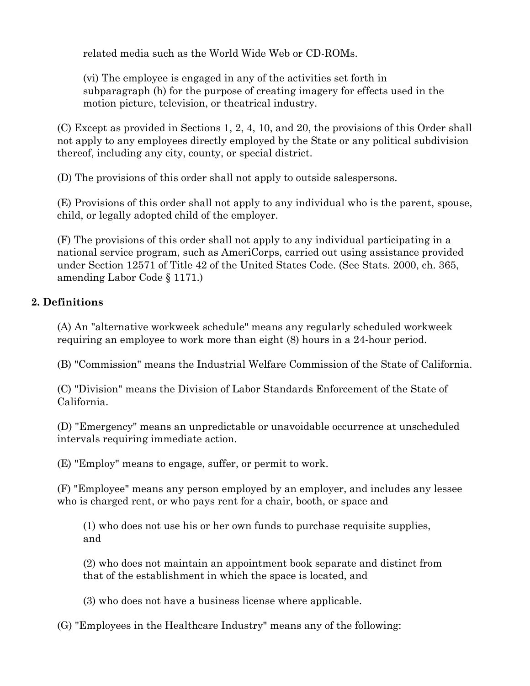related media such as the World Wide Web or CD-ROMs.

(vi) The employee is engaged in any of the activities set forth in subparagraph (h) for the purpose of creating imagery for effects used in the motion picture, television, or theatrical industry.

(C) Except as provided in Sections 1, 2, 4, 10, and 20, the provisions of this Order shall not apply to any employees directly employed by the State or any political subdivision thereof, including any city, county, or special district.

(D) The provisions of this order shall not apply to outside salespersons.

(E) Provisions of this order shall not apply to any individual who is the parent, spouse, child, or legally adopted child of the employer.

(F) The provisions of this order shall not apply to any individual participating in a national service program, such as AmeriCorps, carried out using assistance provided under Section 12571 of Title 42 of the United States Code. (See Stats. 2000, ch. 365, amending Labor Code § 1171.)

# **2. Definitions**

(A) An "alternative workweek schedule" means any regularly scheduled workweek requiring an employee to work more than eight (8) hours in a 24-hour period.

(B) "Commission" means the Industrial Welfare Commission of the State of California.

(C) "Division" means the Division of Labor Standards Enforcement of the State of California.

(D) "Emergency" means an unpredictable or unavoidable occurrence at unscheduled intervals requiring immediate action.

(E) "Employ" means to engage, suffer, or permit to work.

(F) "Employee" means any person employed by an employer, and includes any lessee who is charged rent, or who pays rent for a chair, booth, or space and

(1) who does not use his or her own funds to purchase requisite supplies, and

(2) who does not maintain an appointment book separate and distinct from that of the establishment in which the space is located, and

(3) who does not have a business license where applicable.

(G) "Employees in the Healthcare Industry" means any of the following: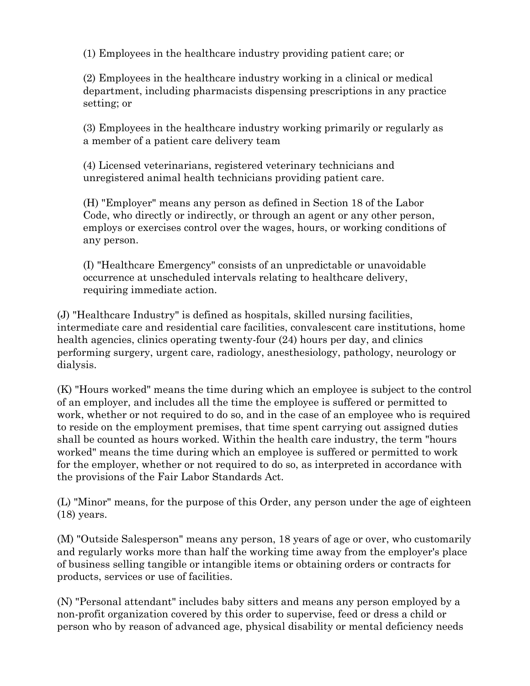(1) Employees in the healthcare industry providing patient care; or

(2) Employees in the healthcare industry working in a clinical or medical department, including pharmacists dispensing prescriptions in any practice setting; or

(3) Employees in the healthcare industry working primarily or regularly as a member of a patient care delivery team

(4) Licensed veterinarians, registered veterinary technicians and unregistered animal health technicians providing patient care.

(H) "Employer" means any person as defined in Section 18 of the Labor Code, who directly or indirectly, or through an agent or any other person, employs or exercises control over the wages, hours, or working conditions of any person.

(I) "Healthcare Emergency" consists of an unpredictable or unavoidable occurrence at unscheduled intervals relating to healthcare delivery, requiring immediate action.

(J) "Healthcare Industry" is defined as hospitals, skilled nursing facilities, intermediate care and residential care facilities, convalescent care institutions, home health agencies, clinics operating twenty-four (24) hours per day, and clinics performing surgery, urgent care, radiology, anesthesiology, pathology, neurology or dialysis.

(K) "Hours worked" means the time during which an employee is subject to the control of an employer, and includes all the time the employee is suffered or permitted to work, whether or not required to do so, and in the case of an employee who is required to reside on the employment premises, that time spent carrying out assigned duties shall be counted as hours worked. Within the health care industry, the term "hours worked" means the time during which an employee is suffered or permitted to work for the employer, whether or not required to do so, as interpreted in accordance with the provisions of the Fair Labor Standards Act.

(L) "Minor" means, for the purpose of this Order, any person under the age of eighteen (18) years.

(M) "Outside Salesperson" means any person, 18 years of age or over, who customarily and regularly works more than half the working time away from the employer's place of business selling tangible or intangible items or obtaining orders or contracts for products, services or use of facilities.

(N) "Personal attendant" includes baby sitters and means any person employed by a non-profit organization covered by this order to supervise, feed or dress a child or person who by reason of advanced age, physical disability or mental deficiency needs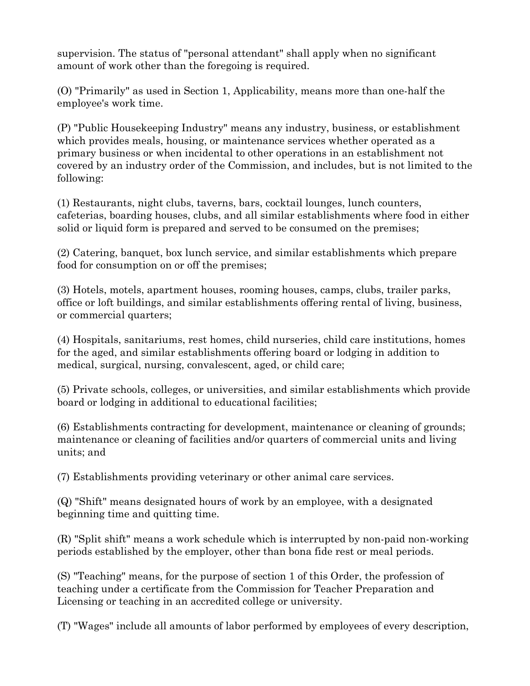supervision. The status of "personal attendant" shall apply when no significant amount of work other than the foregoing is required.

(O) "Primarily" as used in Section 1, Applicability, means more than one-half the employee's work time.

(P) "Public Housekeeping Industry" means any industry, business, or establishment which provides meals, housing, or maintenance services whether operated as a primary business or when incidental to other operations in an establishment not covered by an industry order of the Commission, and includes, but is not limited to the following:

(1) Restaurants, night clubs, taverns, bars, cocktail lounges, lunch counters, cafeterias, boarding houses, clubs, and all similar establishments where food in either solid or liquid form is prepared and served to be consumed on the premises;

(2) Catering, banquet, box lunch service, and similar establishments which prepare food for consumption on or off the premises;

(3) Hotels, motels, apartment houses, rooming houses, camps, clubs, trailer parks, office or loft buildings, and similar establishments offering rental of living, business, or commercial quarters;

(4) Hospitals, sanitariums, rest homes, child nurseries, child care institutions, homes for the aged, and similar establishments offering board or lodging in addition to medical, surgical, nursing, convalescent, aged, or child care;

(5) Private schools, colleges, or universities, and similar establishments which provide board or lodging in additional to educational facilities;

(6) Establishments contracting for development, maintenance or cleaning of grounds; maintenance or cleaning of facilities and/or quarters of commercial units and living units; and

(7) Establishments providing veterinary or other animal care services.

(Q) "Shift" means designated hours of work by an employee, with a designated beginning time and quitting time.

(R) "Split shift" means a work schedule which is interrupted by non-paid non-working periods established by the employer, other than bona fide rest or meal periods.

(S) "Teaching" means, for the purpose of section 1 of this Order, the profession of teaching under a certificate from the Commission for Teacher Preparation and Licensing or teaching in an accredited college or university.

(T) "Wages" include all amounts of labor performed by employees of every description,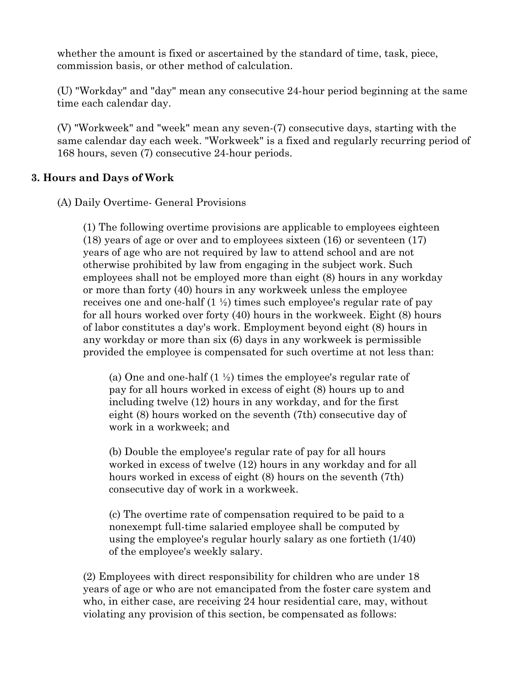whether the amount is fixed or ascertained by the standard of time, task, piece, commission basis, or other method of calculation.

(U) "Workday" and "day" mean any consecutive 24-hour period beginning at the same time each calendar day.

(V) "Workweek" and "week" mean any seven-(7) consecutive days, starting with the same calendar day each week. "Workweek" is a fixed and regularly recurring period of 168 hours, seven (7) consecutive 24-hour periods.

# **3. Hours and Days of Work**

(A) Daily Overtime- General Provisions

(1) The following overtime provisions are applicable to employees eighteen (18) years of age or over and to employees sixteen (16) or seventeen (17) years of age who are not required by law to attend school and are not otherwise prohibited by law from engaging in the subject work. Such employees shall not be employed more than eight (8) hours in any workday or more than forty (40) hours in any workweek unless the employee receives one and one-half  $(1 \frac{1}{2})$  times such employee's regular rate of pay for all hours worked over forty (40) hours in the workweek. Eight (8) hours of labor constitutes a day's work. Employment beyond eight (8) hours in any workday or more than six (6) days in any workweek is permissible provided the employee is compensated for such overtime at not less than:

(a) One and one-half  $(1 \frac{1}{2})$  times the employee's regular rate of pay for all hours worked in excess of eight (8) hours up to and including twelve (12) hours in any workday, and for the first eight (8) hours worked on the seventh (7th) consecutive day of work in a workweek; and

(b) Double the employee's regular rate of pay for all hours worked in excess of twelve (12) hours in any workday and for all hours worked in excess of eight (8) hours on the seventh (7th) consecutive day of work in a workweek.

(c) The overtime rate of compensation required to be paid to a nonexempt full-time salaried employee shall be computed by using the employee's regular hourly salary as one fortieth (1/40) of the employee's weekly salary.

(2) Employees with direct responsibility for children who are under 18 years of age or who are not emancipated from the foster care system and who, in either case, are receiving 24 hour residential care, may, without violating any provision of this section, be compensated as follows: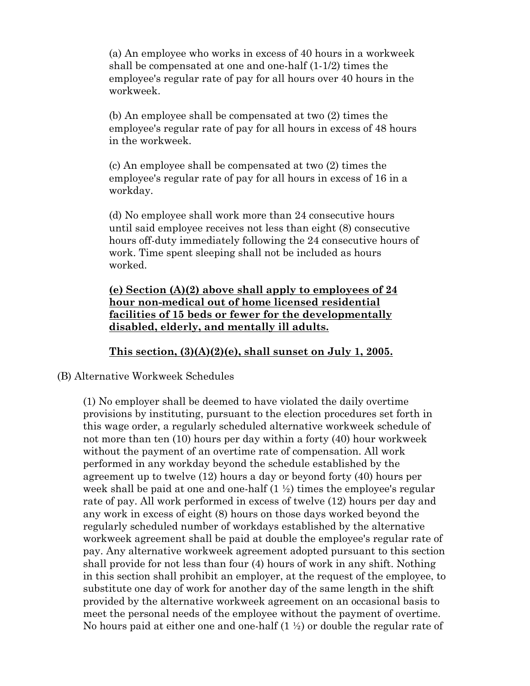(a) An employee who works in excess of 40 hours in a workweek shall be compensated at one and one-half (1-1/2) times the employee's regular rate of pay for all hours over 40 hours in the workweek.

(b) An employee shall be compensated at two (2) times the employee's regular rate of pay for all hours in excess of 48 hours in the workweek.

(c) An employee shall be compensated at two (2) times the employee's regular rate of pay for all hours in excess of 16 in a workday.

(d) No employee shall work more than 24 consecutive hours until said employee receives not less than eight (8) consecutive hours off-duty immediately following the 24 consecutive hours of work. Time spent sleeping shall not be included as hours worked.

**(e) Section (A)(2) above shall apply to employees of 24 hour non-medical out of home licensed residential facilities of 15 beds or fewer for the developmentally disabled, elderly, and mentally ill adults.** 

#### **This section, (3)(A)(2)(e), shall sunset on July 1, 2005.**

(B) Alternative Workweek Schedules

(1) No employer shall be deemed to have violated the daily overtime provisions by instituting, pursuant to the election procedures set forth in this wage order, a regularly scheduled alternative workweek schedule of not more than ten (10) hours per day within a forty (40) hour workweek without the payment of an overtime rate of compensation. All work performed in any workday beyond the schedule established by the agreement up to twelve (12) hours a day or beyond forty (40) hours per week shall be paid at one and one-half  $(1 \frac{1}{2})$  times the employee's regular rate of pay. All work performed in excess of twelve (12) hours per day and any work in excess of eight (8) hours on those days worked beyond the regularly scheduled number of workdays established by the alternative workweek agreement shall be paid at double the employee's regular rate of pay. Any alternative workweek agreement adopted pursuant to this section shall provide for not less than four (4) hours of work in any shift. Nothing in this section shall prohibit an employer, at the request of the employee, to substitute one day of work for another day of the same length in the shift provided by the alternative workweek agreement on an occasional basis to meet the personal needs of the employee without the payment of overtime. No hours paid at either one and one-half  $(1 \frac{1}{2})$  or double the regular rate of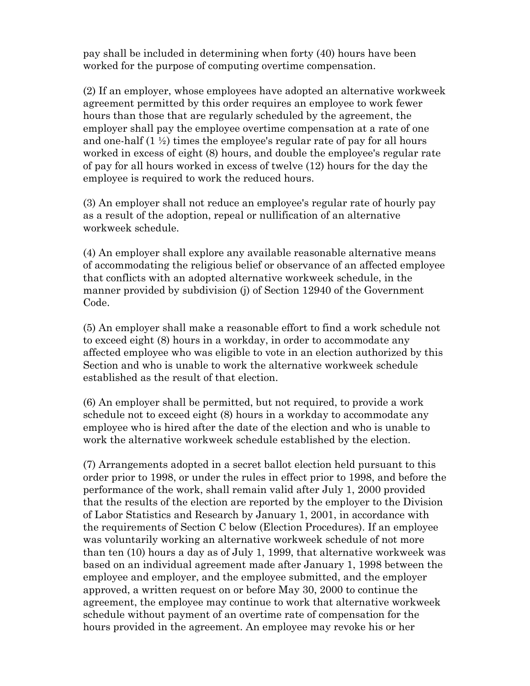pay shall be included in determining when forty (40) hours have been worked for the purpose of computing overtime compensation.

(2) If an employer, whose employees have adopted an alternative workweek agreement permitted by this order requires an employee to work fewer hours than those that are regularly scheduled by the agreement, the employer shall pay the employee overtime compensation at a rate of one and one-half  $(1 \frac{1}{2})$  times the employee's regular rate of pay for all hours worked in excess of eight (8) hours, and double the employee's regular rate of pay for all hours worked in excess of twelve (12) hours for the day the employee is required to work the reduced hours.

(3) An employer shall not reduce an employee's regular rate of hourly pay as a result of the adoption, repeal or nullification of an alternative workweek schedule.

(4) An employer shall explore any available reasonable alternative means of accommodating the religious belief or observance of an affected employee that conflicts with an adopted alternative workweek schedule, in the manner provided by subdivision (j) of Section 12940 of the Government Code.

(5) An employer shall make a reasonable effort to find a work schedule not to exceed eight (8) hours in a workday, in order to accommodate any affected employee who was eligible to vote in an election authorized by this Section and who is unable to work the alternative workweek schedule established as the result of that election.

(6) An employer shall be permitted, but not required, to provide a work schedule not to exceed eight (8) hours in a workday to accommodate any employee who is hired after the date of the election and who is unable to work the alternative workweek schedule established by the election.

(7) Arrangements adopted in a secret ballot election held pursuant to this order prior to 1998, or under the rules in effect prior to 1998, and before the performance of the work, shall remain valid after July 1, 2000 provided that the results of the election are reported by the employer to the Division of Labor Statistics and Research by January 1, 2001, in accordance with the requirements of Section C below (Election Procedures). If an employee was voluntarily working an alternative workweek schedule of not more than ten (10) hours a day as of July 1, 1999, that alternative workweek was based on an individual agreement made after January 1, 1998 between the employee and employer, and the employee submitted, and the employer approved, a written request on or before May 30, 2000 to continue the agreement, the employee may continue to work that alternative workweek schedule without payment of an overtime rate of compensation for the hours provided in the agreement. An employee may revoke his or her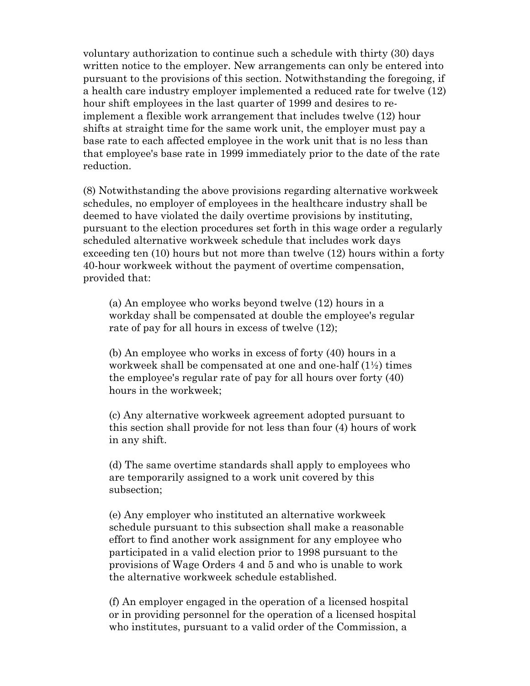voluntary authorization to continue such a schedule with thirty (30) days written notice to the employer. New arrangements can only be entered into pursuant to the provisions of this section. Notwithstanding the foregoing, if a health care industry employer implemented a reduced rate for twelve (12) hour shift employees in the last quarter of 1999 and desires to reimplement a flexible work arrangement that includes twelve (12) hour shifts at straight time for the same work unit, the employer must pay a base rate to each affected employee in the work unit that is no less than that employee's base rate in 1999 immediately prior to the date of the rate reduction.

(8) Notwithstanding the above provisions regarding alternative workweek schedules, no employer of employees in the healthcare industry shall be deemed to have violated the daily overtime provisions by instituting, pursuant to the election procedures set forth in this wage order a regularly scheduled alternative workweek schedule that includes work days exceeding ten (10) hours but not more than twelve (12) hours within a forty 40-hour workweek without the payment of overtime compensation, provided that:

(a) An employee who works beyond twelve (12) hours in a workday shall be compensated at double the employee's regular rate of pay for all hours in excess of twelve (12);

(b) An employee who works in excess of forty (40) hours in a workweek shall be compensated at one and one-half (1½) times the employee's regular rate of pay for all hours over forty (40) hours in the workweek;

(c) Any alternative workweek agreement adopted pursuant to this section shall provide for not less than four (4) hours of work in any shift.

(d) The same overtime standards shall apply to employees who are temporarily assigned to a work unit covered by this subsection;

(e) Any employer who instituted an alternative workweek schedule pursuant to this subsection shall make a reasonable effort to find another work assignment for any employee who participated in a valid election prior to 1998 pursuant to the provisions of Wage Orders 4 and 5 and who is unable to work the alternative workweek schedule established.

(f) An employer engaged in the operation of a licensed hospital or in providing personnel for the operation of a licensed hospital who institutes, pursuant to a valid order of the Commission, a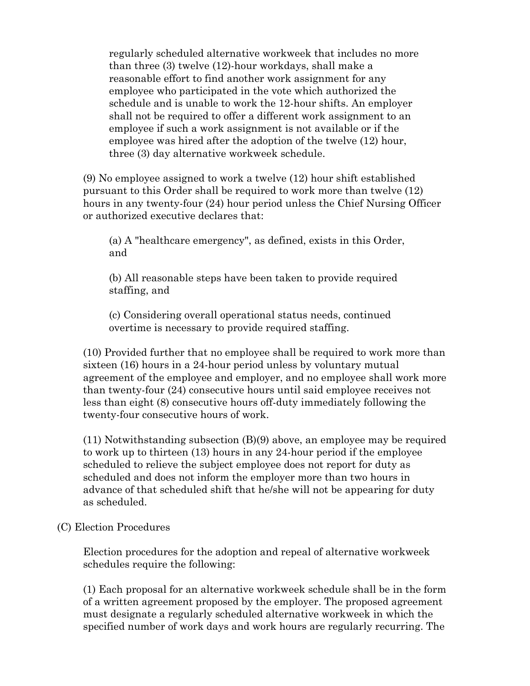regularly scheduled alternative workweek that includes no more than three (3) twelve (12)-hour workdays, shall make a reasonable effort to find another work assignment for any employee who participated in the vote which authorized the schedule and is unable to work the 12-hour shifts. An employer shall not be required to offer a different work assignment to an employee if such a work assignment is not available or if the employee was hired after the adoption of the twelve (12) hour, three (3) day alternative workweek schedule.

(9) No employee assigned to work a twelve (12) hour shift established pursuant to this Order shall be required to work more than twelve (12) hours in any twenty-four (24) hour period unless the Chief Nursing Officer or authorized executive declares that:

(a) A "healthcare emergency", as defined, exists in this Order, and

(b) All reasonable steps have been taken to provide required staffing, and

(c) Considering overall operational status needs, continued overtime is necessary to provide required staffing.

(10) Provided further that no employee shall be required to work more than sixteen (16) hours in a 24-hour period unless by voluntary mutual agreement of the employee and employer, and no employee shall work more than twenty-four (24) consecutive hours until said employee receives not less than eight (8) consecutive hours off-duty immediately following the twenty-four consecutive hours of work.

(11) Notwithstanding subsection (B)(9) above, an employee may be required to work up to thirteen (13) hours in any 24-hour period if the employee scheduled to relieve the subject employee does not report for duty as scheduled and does not inform the employer more than two hours in advance of that scheduled shift that he/she will not be appearing for duty as scheduled.

#### (C) Election Procedures

Election procedures for the adoption and repeal of alternative workweek schedules require the following:

(1) Each proposal for an alternative workweek schedule shall be in the form of a written agreement proposed by the employer. The proposed agreement must designate a regularly scheduled alternative workweek in which the specified number of work days and work hours are regularly recurring. The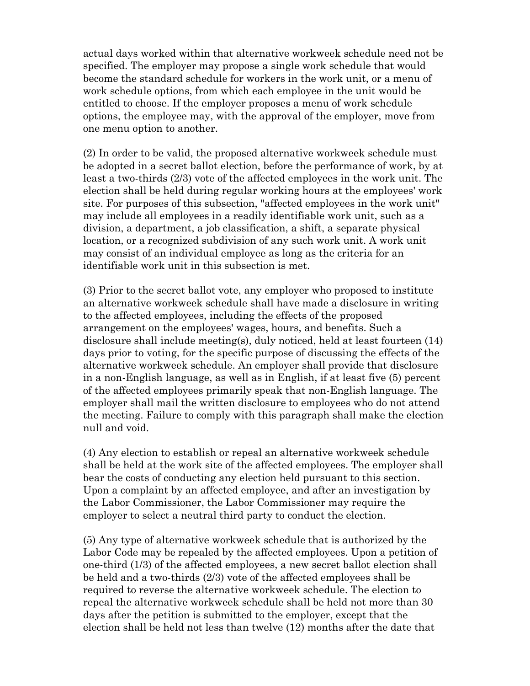actual days worked within that alternative workweek schedule need not be specified. The employer may propose a single work schedule that would become the standard schedule for workers in the work unit, or a menu of work schedule options, from which each employee in the unit would be entitled to choose. If the employer proposes a menu of work schedule options, the employee may, with the approval of the employer, move from one menu option to another.

(2) In order to be valid, the proposed alternative workweek schedule must be adopted in a secret ballot election, before the performance of work, by at least a two-thirds (2/3) vote of the affected employees in the work unit. The election shall be held during regular working hours at the employees' work site. For purposes of this subsection, "affected employees in the work unit" may include all employees in a readily identifiable work unit, such as a division, a department, a job classification, a shift, a separate physical location, or a recognized subdivision of any such work unit. A work unit may consist of an individual employee as long as the criteria for an identifiable work unit in this subsection is met.

(3) Prior to the secret ballot vote, any employer who proposed to institute an alternative workweek schedule shall have made a disclosure in writing to the affected employees, including the effects of the proposed arrangement on the employees' wages, hours, and benefits. Such a disclosure shall include meeting(s), duly noticed, held at least fourteen (14) days prior to voting, for the specific purpose of discussing the effects of the alternative workweek schedule. An employer shall provide that disclosure in a non-English language, as well as in English, if at least five (5) percent of the affected employees primarily speak that non-English language. The employer shall mail the written disclosure to employees who do not attend the meeting. Failure to comply with this paragraph shall make the election null and void.

(4) Any election to establish or repeal an alternative workweek schedule shall be held at the work site of the affected employees. The employer shall bear the costs of conducting any election held pursuant to this section. Upon a complaint by an affected employee, and after an investigation by the Labor Commissioner, the Labor Commissioner may require the employer to select a neutral third party to conduct the election.

(5) Any type of alternative workweek schedule that is authorized by the Labor Code may be repealed by the affected employees. Upon a petition of one-third (1/3) of the affected employees, a new secret ballot election shall be held and a two-thirds (2/3) vote of the affected employees shall be required to reverse the alternative workweek schedule. The election to repeal the alternative workweek schedule shall be held not more than 30 days after the petition is submitted to the employer, except that the election shall be held not less than twelve (12) months after the date that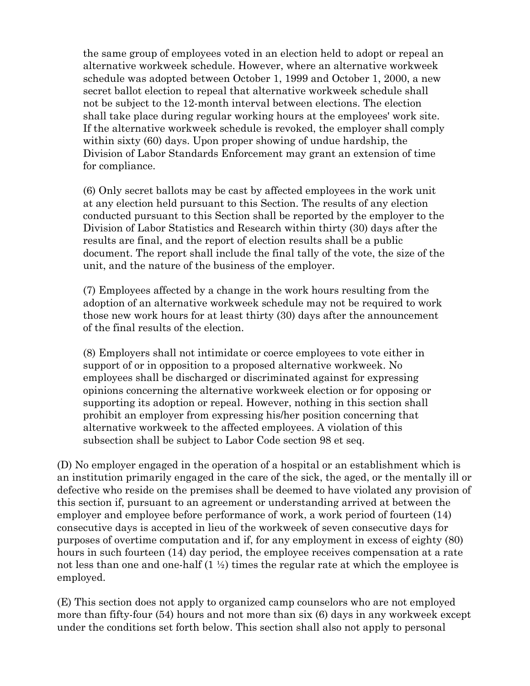the same group of employees voted in an election held to adopt or repeal an alternative workweek schedule. However, where an alternative workweek schedule was adopted between October 1, 1999 and October 1, 2000, a new secret ballot election to repeal that alternative workweek schedule shall not be subject to the 12-month interval between elections. The election shall take place during regular working hours at the employees' work site. If the alternative workweek schedule is revoked, the employer shall comply within sixty (60) days. Upon proper showing of undue hardship, the Division of Labor Standards Enforcement may grant an extension of time for compliance.

(6) Only secret ballots may be cast by affected employees in the work unit at any election held pursuant to this Section. The results of any election conducted pursuant to this Section shall be reported by the employer to the Division of Labor Statistics and Research within thirty (30) days after the results are final, and the report of election results shall be a public document. The report shall include the final tally of the vote, the size of the unit, and the nature of the business of the employer.

(7) Employees affected by a change in the work hours resulting from the adoption of an alternative workweek schedule may not be required to work those new work hours for at least thirty (30) days after the announcement of the final results of the election.

(8) Employers shall not intimidate or coerce employees to vote either in support of or in opposition to a proposed alternative workweek. No employees shall be discharged or discriminated against for expressing opinions concerning the alternative workweek election or for opposing or supporting its adoption or repeal. However, nothing in this section shall prohibit an employer from expressing his/her position concerning that alternative workweek to the affected employees. A violation of this subsection shall be subject to Labor Code section 98 et seq.

(D) No employer engaged in the operation of a hospital or an establishment which is an institution primarily engaged in the care of the sick, the aged, or the mentally ill or defective who reside on the premises shall be deemed to have violated any provision of this section if, pursuant to an agreement or understanding arrived at between the employer and employee before performance of work, a work period of fourteen (14) consecutive days is accepted in lieu of the workweek of seven consecutive days for purposes of overtime computation and if, for any employment in excess of eighty (80) hours in such fourteen (14) day period, the employee receives compensation at a rate not less than one and one-half  $(1 \frac{1}{2})$  times the regular rate at which the employee is employed.

(E) This section does not apply to organized camp counselors who are not employed more than fifty-four (54) hours and not more than six (6) days in any workweek except under the conditions set forth below. This section shall also not apply to personal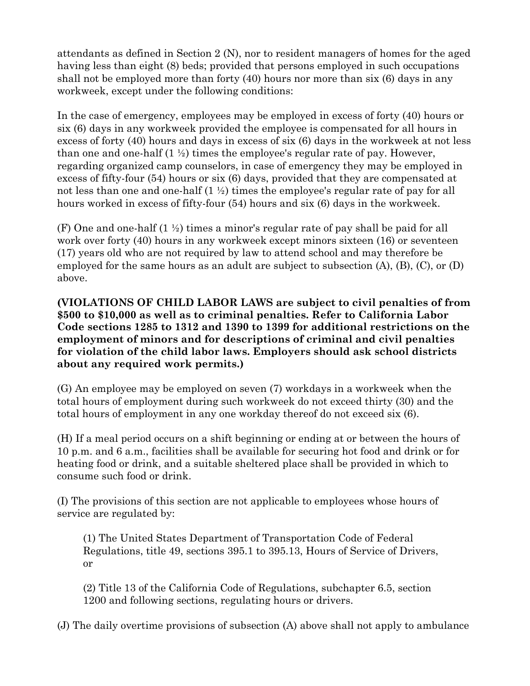attendants as defined in Section 2 (N), nor to resident managers of homes for the aged having less than eight (8) beds; provided that persons employed in such occupations shall not be employed more than forty (40) hours nor more than six (6) days in any workweek, except under the following conditions:

In the case of emergency, employees may be employed in excess of forty (40) hours or six (6) days in any workweek provided the employee is compensated for all hours in excess of forty (40) hours and days in excess of six (6) days in the workweek at not less than one and one-half  $(1 \frac{1}{2})$  times the employee's regular rate of pay. However, regarding organized camp counselors, in case of emergency they may be employed in excess of fifty-four (54) hours or six (6) days, provided that they are compensated at not less than one and one-half  $(1 \frac{1}{2})$  times the employee's regular rate of pay for all hours worked in excess of fifty-four (54) hours and six (6) days in the workweek.

(F) One and one-half (1 ½) times a minor's regular rate of pay shall be paid for all work over forty (40) hours in any workweek except minors sixteen (16) or seventeen (17) years old who are not required by law to attend school and may therefore be employed for the same hours as an adult are subject to subsection (A), (B), (C), or (D) above.

**(VIOLATIONS OF CHILD LABOR LAWS are subject to civil penalties of from \$500 to \$10,000 as well as to criminal penalties. Refer to California Labor Code sections 1285 to 1312 and 1390 to 1399 for additional restrictions on the employment of minors and for descriptions of criminal and civil penalties for violation of the child labor laws. Employers should ask school districts about any required work permits.)** 

(G) An employee may be employed on seven (7) workdays in a workweek when the total hours of employment during such workweek do not exceed thirty (30) and the total hours of employment in any one workday thereof do not exceed six (6).

(H) If a meal period occurs on a shift beginning or ending at or between the hours of 10 p.m. and 6 a.m., facilities shall be available for securing hot food and drink or for heating food or drink, and a suitable sheltered place shall be provided in which to consume such food or drink.

(I) The provisions of this section are not applicable to employees whose hours of service are regulated by:

(1) The United States Department of Transportation Code of Federal Regulations, title 49, sections 395.1 to 395.13, Hours of Service of Drivers, or

(2) Title 13 of the California Code of Regulations, subchapter 6.5, section 1200 and following sections, regulating hours or drivers.

(J) The daily overtime provisions of subsection (A) above shall not apply to ambulance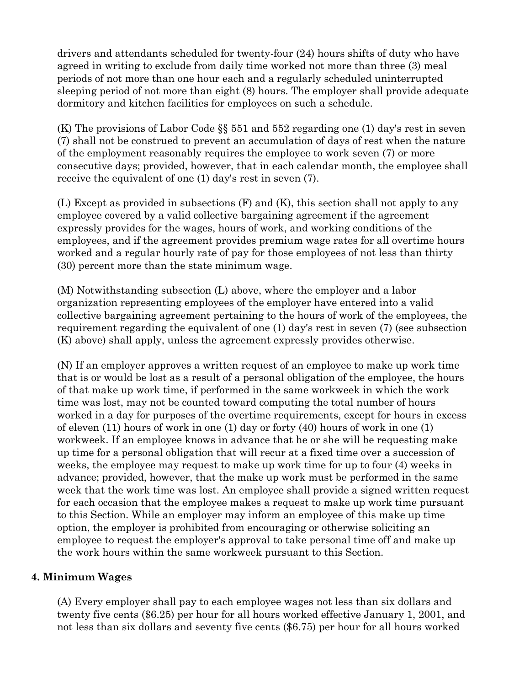drivers and attendants scheduled for twenty-four (24) hours shifts of duty who have agreed in writing to exclude from daily time worked not more than three (3) meal periods of not more than one hour each and a regularly scheduled uninterrupted sleeping period of not more than eight (8) hours. The employer shall provide adequate dormitory and kitchen facilities for employees on such a schedule.

(K) The provisions of Labor Code §§ 551 and 552 regarding one (1) day's rest in seven (7) shall not be construed to prevent an accumulation of days of rest when the nature of the employment reasonably requires the employee to work seven (7) or more consecutive days; provided, however, that in each calendar month, the employee shall receive the equivalent of one (1) day's rest in seven (7).

(L) Except as provided in subsections (F) and (K), this section shall not apply to any employee covered by a valid collective bargaining agreement if the agreement expressly provides for the wages, hours of work, and working conditions of the employees, and if the agreement provides premium wage rates for all overtime hours worked and a regular hourly rate of pay for those employees of not less than thirty (30) percent more than the state minimum wage.

(M) Notwithstanding subsection (L) above, where the employer and a labor organization representing employees of the employer have entered into a valid collective bargaining agreement pertaining to the hours of work of the employees, the requirement regarding the equivalent of one (1) day's rest in seven (7) (see subsection (K) above) shall apply, unless the agreement expressly provides otherwise.

(N) If an employer approves a written request of an employee to make up work time that is or would be lost as a result of a personal obligation of the employee, the hours of that make up work time, if performed in the same workweek in which the work time was lost, may not be counted toward computing the total number of hours worked in a day for purposes of the overtime requirements, except for hours in excess of eleven (11) hours of work in one (1) day or forty (40) hours of work in one (1) workweek. If an employee knows in advance that he or she will be requesting make up time for a personal obligation that will recur at a fixed time over a succession of weeks, the employee may request to make up work time for up to four (4) weeks in advance; provided, however, that the make up work must be performed in the same week that the work time was lost. An employee shall provide a signed written request for each occasion that the employee makes a request to make up work time pursuant to this Section. While an employer may inform an employee of this make up time option, the employer is prohibited from encouraging or otherwise soliciting an employee to request the employer's approval to take personal time off and make up the work hours within the same workweek pursuant to this Section.

# **4. Minimum Wages**

(A) Every employer shall pay to each employee wages not less than six dollars and twenty five cents (\$6.25) per hour for all hours worked effective January 1, 2001, and not less than six dollars and seventy five cents (\$6.75) per hour for all hours worked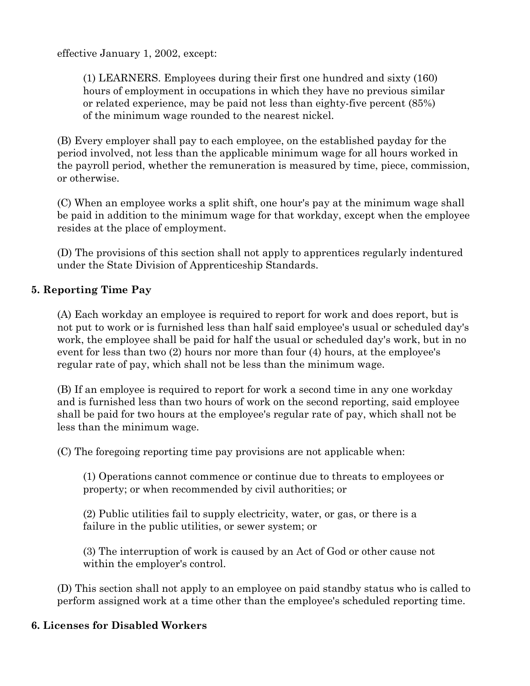effective January 1, 2002, except:

(1) LEARNERS. Employees during their first one hundred and sixty (160) hours of employment in occupations in which they have no previous similar or related experience, may be paid not less than eighty-five percent (85%) of the minimum wage rounded to the nearest nickel.

(B) Every employer shall pay to each employee, on the established payday for the period involved, not less than the applicable minimum wage for all hours worked in the payroll period, whether the remuneration is measured by time, piece, commission, or otherwise.

(C) When an employee works a split shift, one hour's pay at the minimum wage shall be paid in addition to the minimum wage for that workday, except when the employee resides at the place of employment.

(D) The provisions of this section shall not apply to apprentices regularly indentured under the State Division of Apprenticeship Standards.

# **5. Reporting Time Pay**

(A) Each workday an employee is required to report for work and does report, but is not put to work or is furnished less than half said employee's usual or scheduled day's work, the employee shall be paid for half the usual or scheduled day's work, but in no event for less than two (2) hours nor more than four (4) hours, at the employee's regular rate of pay, which shall not be less than the minimum wage.

(B) If an employee is required to report for work a second time in any one workday and is furnished less than two hours of work on the second reporting, said employee shall be paid for two hours at the employee's regular rate of pay, which shall not be less than the minimum wage.

(C) The foregoing reporting time pay provisions are not applicable when:

(1) Operations cannot commence or continue due to threats to employees or property; or when recommended by civil authorities; or

(2) Public utilities fail to supply electricity, water, or gas, or there is a failure in the public utilities, or sewer system; or

(3) The interruption of work is caused by an Act of God or other cause not within the employer's control.

(D) This section shall not apply to an employee on paid standby status who is called to perform assigned work at a time other than the employee's scheduled reporting time.

# **6. Licenses for Disabled Workers**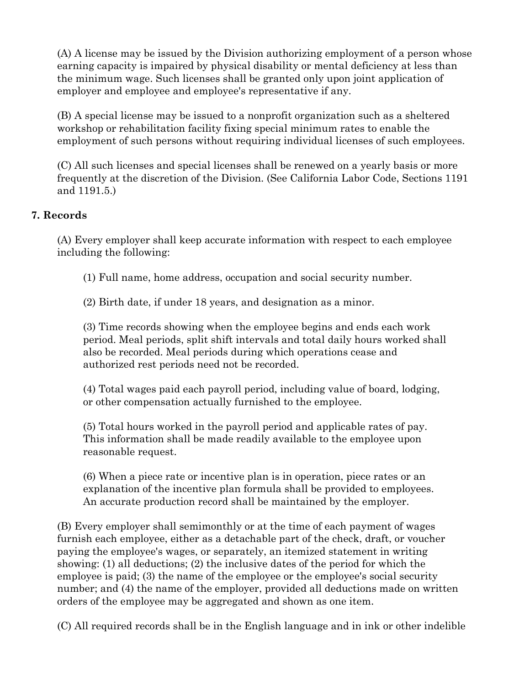(A) A license may be issued by the Division authorizing employment of a person whose earning capacity is impaired by physical disability or mental deficiency at less than the minimum wage. Such licenses shall be granted only upon joint application of employer and employee and employee's representative if any.

(B) A special license may be issued to a nonprofit organization such as a sheltered workshop or rehabilitation facility fixing special minimum rates to enable the employment of such persons without requiring individual licenses of such employees.

(C) All such licenses and special licenses shall be renewed on a yearly basis or more frequently at the discretion of the Division. (See California Labor Code, Sections 1191 and 1191.5.)

# **7. Records**

(A) Every employer shall keep accurate information with respect to each employee including the following:

(1) Full name, home address, occupation and social security number.

(2) Birth date, if under 18 years, and designation as a minor.

(3) Time records showing when the employee begins and ends each work period. Meal periods, split shift intervals and total daily hours worked shall also be recorded. Meal periods during which operations cease and authorized rest periods need not be recorded.

(4) Total wages paid each payroll period, including value of board, lodging, or other compensation actually furnished to the employee.

(5) Total hours worked in the payroll period and applicable rates of pay. This information shall be made readily available to the employee upon reasonable request.

(6) When a piece rate or incentive plan is in operation, piece rates or an explanation of the incentive plan formula shall be provided to employees. An accurate production record shall be maintained by the employer.

(B) Every employer shall semimonthly or at the time of each payment of wages furnish each employee, either as a detachable part of the check, draft, or voucher paying the employee's wages, or separately, an itemized statement in writing showing: (1) all deductions; (2) the inclusive dates of the period for which the employee is paid; (3) the name of the employee or the employee's social security number; and (4) the name of the employer, provided all deductions made on written orders of the employee may be aggregated and shown as one item.

(C) All required records shall be in the English language and in ink or other indelible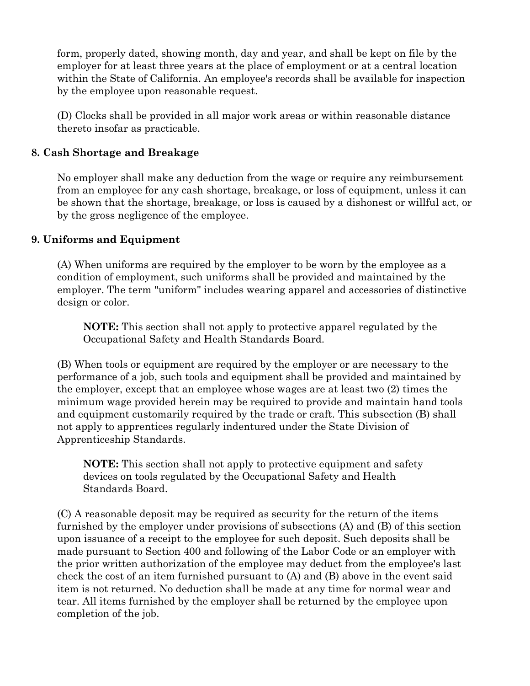form, properly dated, showing month, day and year, and shall be kept on file by the employer for at least three years at the place of employment or at a central location within the State of California. An employee's records shall be available for inspection by the employee upon reasonable request.

(D) Clocks shall be provided in all major work areas or within reasonable distance thereto insofar as practicable.

## **8. Cash Shortage and Breakage**

No employer shall make any deduction from the wage or require any reimbursement from an employee for any cash shortage, breakage, or loss of equipment, unless it can be shown that the shortage, breakage, or loss is caused by a dishonest or willful act, or by the gross negligence of the employee.

### **9. Uniforms and Equipment**

(A) When uniforms are required by the employer to be worn by the employee as a condition of employment, such uniforms shall be provided and maintained by the employer. The term "uniform" includes wearing apparel and accessories of distinctive design or color.

**NOTE:** This section shall not apply to protective apparel regulated by the Occupational Safety and Health Standards Board.

(B) When tools or equipment are required by the employer or are necessary to the performance of a job, such tools and equipment shall be provided and maintained by the employer, except that an employee whose wages are at least two (2) times the minimum wage provided herein may be required to provide and maintain hand tools and equipment customarily required by the trade or craft. This subsection (B) shall not apply to apprentices regularly indentured under the State Division of Apprenticeship Standards.

**NOTE:** This section shall not apply to protective equipment and safety devices on tools regulated by the Occupational Safety and Health Standards Board.

(C) A reasonable deposit may be required as security for the return of the items furnished by the employer under provisions of subsections (A) and (B) of this section upon issuance of a receipt to the employee for such deposit. Such deposits shall be made pursuant to Section 400 and following of the Labor Code or an employer with the prior written authorization of the employee may deduct from the employee's last check the cost of an item furnished pursuant to (A) and (B) above in the event said item is not returned. No deduction shall be made at any time for normal wear and tear. All items furnished by the employer shall be returned by the employee upon completion of the job.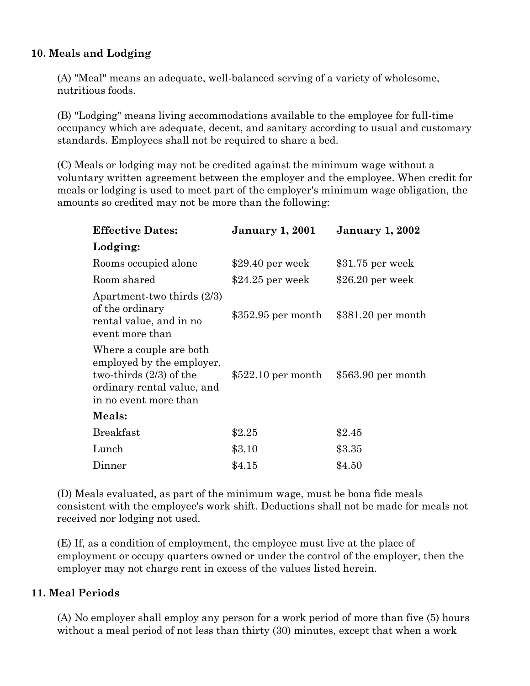# **10. Meals and Lodging**

(A) "Meal" means an adequate, well-balanced serving of a variety of wholesome, nutritious foods.

(B) "Lodging" means living accommodations available to the employee for full-time occupancy which are adequate, decent, and sanitary according to usual and customary standards. Employees shall not be required to share a bed.

(C) Meals or lodging may not be credited against the minimum wage without a voluntary written agreement between the employer and the employee. When credit for meals or lodging is used to meet part of the employer's minimum wage obligation, the amounts so credited may not be more than the following:

| <b>Effective Dates:</b>                                                                                                                  | January 1, 2001      | <b>January 1, 2002</b> |
|------------------------------------------------------------------------------------------------------------------------------------------|----------------------|------------------------|
| Lodging:                                                                                                                                 |                      |                        |
| Rooms occupied alone                                                                                                                     | $$29.40$ per week    | $$31.75$ per week      |
| Room shared                                                                                                                              | $$24.25$ per week    | $$26.20$ per week      |
| Apartment-two thirds (2/3)<br>of the ordinary<br>rental value, and in no<br>event more than                                              | $\$352.95$ per month | \$381.20 per month     |
| Where a couple are both<br>employed by the employer,<br>two-thirds $(2/3)$ of the<br>ordinary rental value, and<br>in no event more than | $$522.10$ per month  | $$563.90$ per month    |
| Meals:                                                                                                                                   |                      |                        |
| <b>Breakfast</b>                                                                                                                         | \$2.25               | \$2.45                 |
| Lunch                                                                                                                                    | \$3.10               | \$3.35                 |
| Dinner                                                                                                                                   | \$4.15               | \$4.50                 |

(D) Meals evaluated, as part of the minimum wage, must be bona fide meals consistent with the employee's work shift. Deductions shall not be made for meals not received nor lodging not used.

(E) If, as a condition of employment, the employee must live at the place of employment or occupy quarters owned or under the control of the employer, then the employer may not charge rent in excess of the values listed herein.

# **11. Meal Periods**

(A) No employer shall employ any person for a work period of more than five (5) hours without a meal period of not less than thirty (30) minutes, except that when a work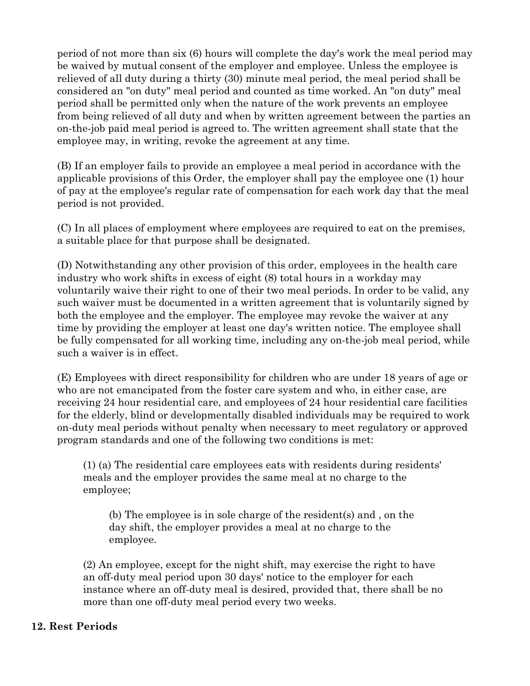period of not more than six (6) hours will complete the day's work the meal period may be waived by mutual consent of the employer and employee. Unless the employee is relieved of all duty during a thirty (30) minute meal period, the meal period shall be considered an "on duty" meal period and counted as time worked. An "on duty" meal period shall be permitted only when the nature of the work prevents an employee from being relieved of all duty and when by written agreement between the parties an on-the-job paid meal period is agreed to. The written agreement shall state that the employee may, in writing, revoke the agreement at any time.

(B) If an employer fails to provide an employee a meal period in accordance with the applicable provisions of this Order, the employer shall pay the employee one (1) hour of pay at the employee's regular rate of compensation for each work day that the meal period is not provided.

(C) In all places of employment where employees are required to eat on the premises, a suitable place for that purpose shall be designated.

(D) Notwithstanding any other provision of this order, employees in the health care industry who work shifts in excess of eight (8) total hours in a workday may voluntarily waive their right to one of their two meal periods. In order to be valid, any such waiver must be documented in a written agreement that is voluntarily signed by both the employee and the employer. The employee may revoke the waiver at any time by providing the employer at least one day's written notice. The employee shall be fully compensated for all working time, including any on-the-job meal period, while such a waiver is in effect.

(E) Employees with direct responsibility for children who are under 18 years of age or who are not emancipated from the foster care system and who, in either case, are receiving 24 hour residential care, and employees of 24 hour residential care facilities for the elderly, blind or developmentally disabled individuals may be required to work on-duty meal periods without penalty when necessary to meet regulatory or approved program standards and one of the following two conditions is met:

(1) (a) The residential care employees eats with residents during residents' meals and the employer provides the same meal at no charge to the employee;

(b) The employee is in sole charge of the resident(s) and , on the day shift, the employer provides a meal at no charge to the employee.

(2) An employee, except for the night shift, may exercise the right to have an off-duty meal period upon 30 days' notice to the employer for each instance where an off-duty meal is desired, provided that, there shall be no more than one off-duty meal period every two weeks.

### **12. Rest Periods**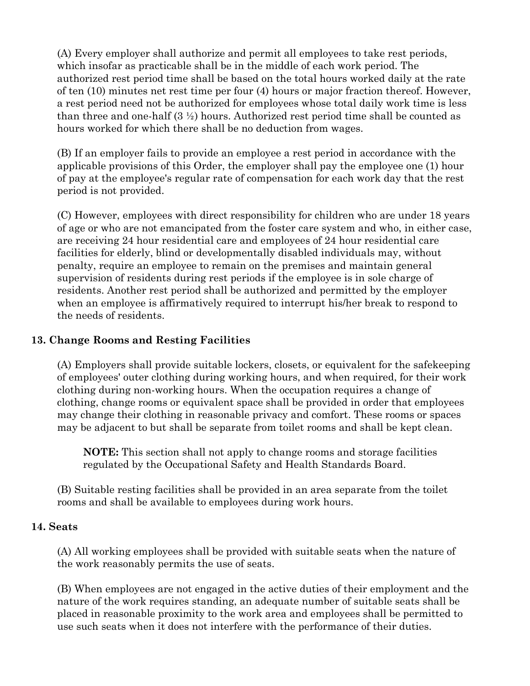(A) Every employer shall authorize and permit all employees to take rest periods, which insofar as practicable shall be in the middle of each work period. The authorized rest period time shall be based on the total hours worked daily at the rate of ten (10) minutes net rest time per four (4) hours or major fraction thereof. However, a rest period need not be authorized for employees whose total daily work time is less than three and one-half  $(3 \frac{1}{2})$  hours. Authorized rest period time shall be counted as hours worked for which there shall be no deduction from wages.

(B) If an employer fails to provide an employee a rest period in accordance with the applicable provisions of this Order, the employer shall pay the employee one (1) hour of pay at the employee's regular rate of compensation for each work day that the rest period is not provided.

(C) However, employees with direct responsibility for children who are under 18 years of age or who are not emancipated from the foster care system and who, in either case, are receiving 24 hour residential care and employees of 24 hour residential care facilities for elderly, blind or developmentally disabled individuals may, without penalty, require an employee to remain on the premises and maintain general supervision of residents during rest periods if the employee is in sole charge of residents. Another rest period shall be authorized and permitted by the employer when an employee is affirmatively required to interrupt his/her break to respond to the needs of residents.

## **13. Change Rooms and Resting Facilities**

(A) Employers shall provide suitable lockers, closets, or equivalent for the safekeeping of employees' outer clothing during working hours, and when required, for their work clothing during non-working hours. When the occupation requires a change of clothing, change rooms or equivalent space shall be provided in order that employees may change their clothing in reasonable privacy and comfort. These rooms or spaces may be adjacent to but shall be separate from toilet rooms and shall be kept clean.

**NOTE:** This section shall not apply to change rooms and storage facilities regulated by the Occupational Safety and Health Standards Board.

(B) Suitable resting facilities shall be provided in an area separate from the toilet rooms and shall be available to employees during work hours.

#### **14. Seats**

(A) All working employees shall be provided with suitable seats when the nature of the work reasonably permits the use of seats.

(B) When employees are not engaged in the active duties of their employment and the nature of the work requires standing, an adequate number of suitable seats shall be placed in reasonable proximity to the work area and employees shall be permitted to use such seats when it does not interfere with the performance of their duties.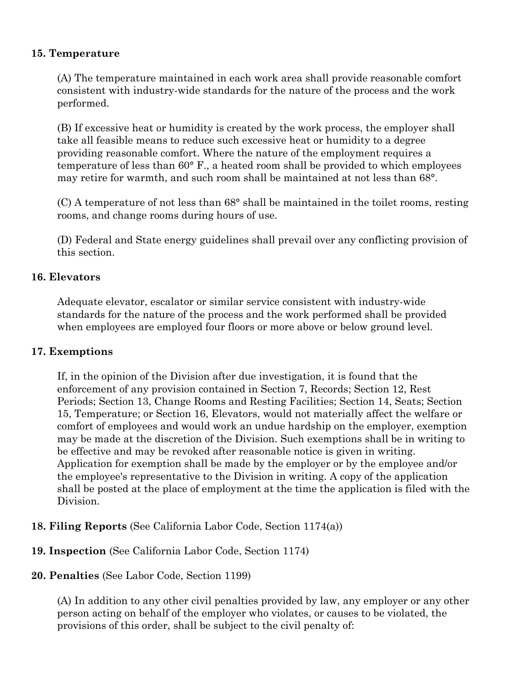### **15. Temperature**

(A) The temperature maintained in each work area shall provide reasonable comfort consistent with industry-wide standards for the nature of the process and the work performed.

(B) If excessive heat or humidity is created by the work process, the employer shall take all feasible means to reduce such excessive heat or humidity to a degree providing reasonable comfort. Where the nature of the employment requires a temperature of less than 60° F., a heated room shall be provided to which employees may retire for warmth, and such room shall be maintained at not less than 68°.

(C) A temperature of not less than 68° shall be maintained in the toilet rooms, resting rooms, and change rooms during hours of use.

(D) Federal and State energy guidelines shall prevail over any conflicting provision of this section.

### **16. Elevators**

Adequate elevator, escalator or similar service consistent with industry-wide standards for the nature of the process and the work performed shall be provided when employees are employed four floors or more above or below ground level.

# **17. Exemptions**

If, in the opinion of the Division after due investigation, it is found that the enforcement of any provision contained in Section 7, Records; Section 12, Rest Periods; Section 13, Change Rooms and Resting Facilities; Section 14, Seats; Section 15, Temperature; or Section 16, Elevators, would not materially affect the welfare or comfort of employees and would work an undue hardship on the employer, exemption may be made at the discretion of the Division. Such exemptions shall be in writing to be effective and may be revoked after reasonable notice is given in writing. Application for exemption shall be made by the employer or by the employee and/or the employee's representative to the Division in writing. A copy of the application shall be posted at the place of employment at the time the application is filed with the Division.

**18. Filing Reports** (See California Labor Code, Section 1174(a))

#### **19. Inspection** (See California Labor Code, Section 1174)

#### **20. Penalties** (See Labor Code, Section 1199)

(A) In addition to any other civil penalties provided by law, any employer or any other person acting on behalf of the employer who violates, or causes to be violated, the provisions of this order, shall be subject to the civil penalty of: